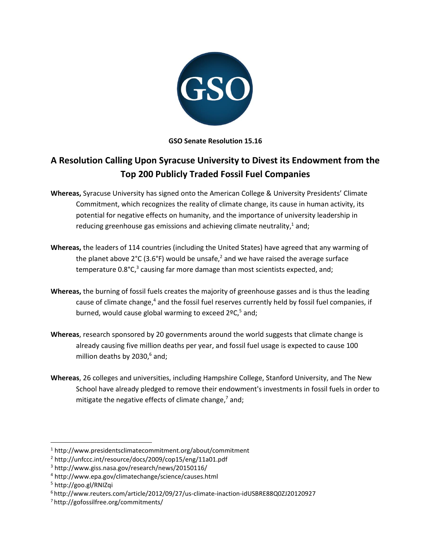

**GSO Senate Resolution 15.16**

## **A Resolution Calling Upon Syracuse University to Divest its Endowment from the Top 200 Publicly Traded Fossil Fuel Companies**

- **Whereas,** Syracuse University has signed onto the American College & University Presidents' Climate Commitment, which recognizes the reality of climate change, its cause in human activity, its potential for negative effects on humanity, and the importance of university leadership in reducing greenhouse gas emissions and achieving climate neutrality, $1$  and;
- **Whereas,** the leaders of 114 countries (including the United States) have agreed that any warming of the planet above  $2^{\circ}C$  (3.6°F) would be unsafe,<sup>2</sup> and we have raised the average surface temperature 0.8°C,<sup>3</sup> causing far more damage than most scientists expected, and;
- **Whereas,** the burning of fossil fuels creates the majority of greenhouse gasses and is thus the leading cause of climate change,<sup>4</sup> and the fossil fuel reserves currently held by fossil fuel companies, if burned, would cause global warming to exceed  $2^{\circ}$ C,<sup>5</sup> and;
- **Whereas**, research sponsored by 20 governments around the world suggests that climate change is already causing five million deaths per year, and fossil fuel usage is expected to cause 100 million deaths by 2030,<sup>6</sup> and;
- **Whereas**, 26 colleges and universities, including Hampshire College, Stanford University, and The New School have already pledged to remove their endowment's investments in fossil fuels in order to mitigate the negative effects of climate change,<sup>7</sup> and;

 $\overline{\phantom{a}}$ 

<sup>1</sup> http://www.presidentsclimatecommitment.org/about/commitment

<sup>2</sup> http://unfccc.int/resource/docs/2009/cop15/eng/11a01.pdf

<sup>3</sup> http://www.giss.nasa.gov/research/news/20150116/

<sup>4</sup> http://www.epa.gov/climatechange/science/causes.html

<sup>5</sup> http://goo.gl/RNIZqi

<sup>6</sup> http://www.reuters.com/article/2012/09/27/us-climate-inaction-idUSBRE88Q0ZJ20120927

<sup>7</sup> http://gofossilfree.org/commitments/